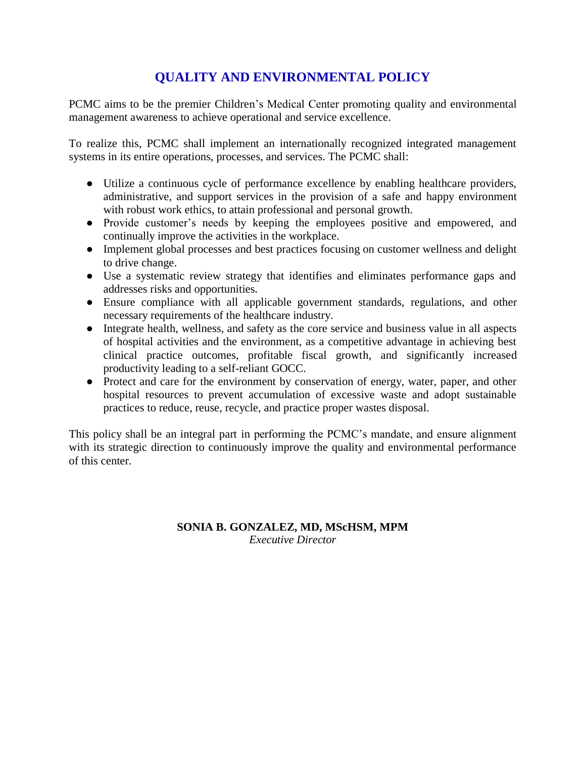## **QUALITY AND ENVIRONMENTAL POLICY**

PCMC aims to be the premier Children's Medical Center promoting quality and environmental management awareness to achieve operational and service excellence.

To realize this, PCMC shall implement an internationally recognized integrated management systems in its entire operations, processes, and services. The PCMC shall:

- Utilize a continuous cycle of performance excellence by enabling healthcare providers, administrative, and support services in the provision of a safe and happy environment with robust work ethics, to attain professional and personal growth.
- Provide customer's needs by keeping the employees positive and empowered, and continually improve the activities in the workplace.
- Implement global processes and best practices focusing on customer wellness and delight to drive change.
- Use a systematic review strategy that identifies and eliminates performance gaps and addresses risks and opportunities.
- Ensure compliance with all applicable government standards, regulations, and other necessary requirements of the healthcare industry.
- Integrate health, wellness, and safety as the core service and business value in all aspects of hospital activities and the environment, as a competitive advantage in achieving best clinical practice outcomes, profitable fiscal growth, and significantly increased productivity leading to a self-reliant GOCC.
- Protect and care for the environment by conservation of energy, water, paper, and other hospital resources to prevent accumulation of excessive waste and adopt sustainable practices to reduce, reuse, recycle, and practice proper wastes disposal.

This policy shall be an integral part in performing the PCMC's mandate, and ensure alignment with its strategic direction to continuously improve the quality and environmental performance of this center.

## **SONIA B. GONZALEZ, MD, MScHSM, MPM** *Executive Director*